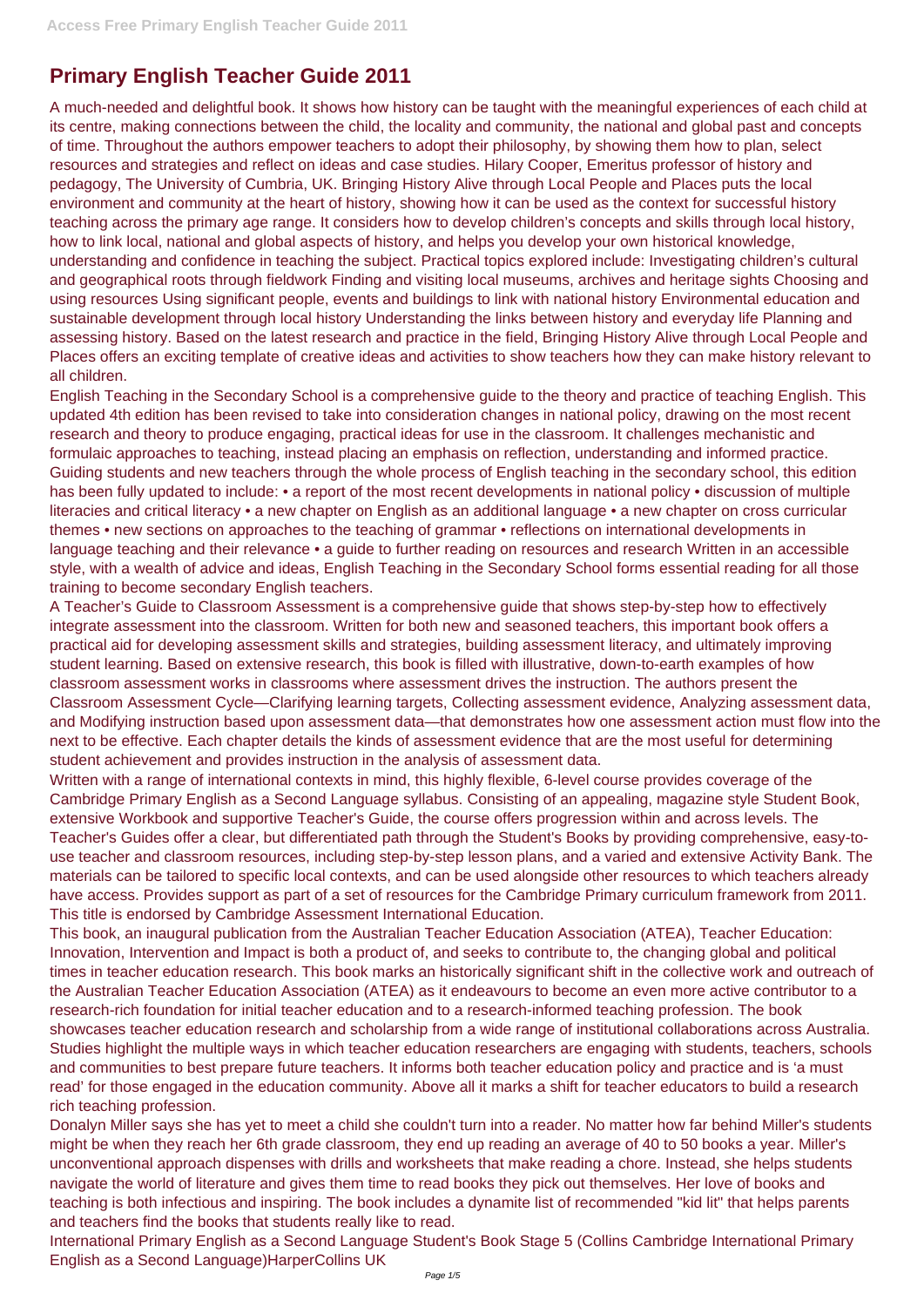## **Primary English Teacher Guide 2011**

A much-needed and delightful book. It shows how history can be taught with the meaningful experiences of each child at its centre, making connections between the child, the locality and community, the national and global past and concepts of time. Throughout the authors empower teachers to adopt their philosophy, by showing them how to plan, select resources and strategies and reflect on ideas and case studies. Hilary Cooper, Emeritus professor of history and pedagogy, The University of Cumbria, UK. Bringing History Alive through Local People and Places puts the local environment and community at the heart of history, showing how it can be used as the context for successful history teaching across the primary age range. It considers how to develop children's concepts and skills through local history, how to link local, national and global aspects of history, and helps you develop your own historical knowledge, understanding and confidence in teaching the subject. Practical topics explored include: Investigating children's cultural and geographical roots through fieldwork Finding and visiting local museums, archives and heritage sights Choosing and using resources Using significant people, events and buildings to link with national history Environmental education and sustainable development through local history Understanding the links between history and everyday life Planning and assessing history. Based on the latest research and practice in the field, Bringing History Alive through Local People and Places offers an exciting template of creative ideas and activities to show teachers how they can make history relevant to all children.

English Teaching in the Secondary School is a comprehensive guide to the theory and practice of teaching English. This updated 4th edition has been revised to take into consideration changes in national policy, drawing on the most recent research and theory to produce engaging, practical ideas for use in the classroom. It challenges mechanistic and formulaic approaches to teaching, instead placing an emphasis on reflection, understanding and informed practice. Guiding students and new teachers through the whole process of English teaching in the secondary school, this edition has been fully updated to include: • a report of the most recent developments in national policy • discussion of multiple literacies and critical literacy • a new chapter on English as an additional language • a new chapter on cross curricular themes • new sections on approaches to the teaching of grammar • reflections on international developments in language teaching and their relevance • a guide to further reading on resources and research Written in an accessible style, with a wealth of advice and ideas, English Teaching in the Secondary School forms essential reading for all those training to become secondary English teachers.

A Teacher's Guide to Classroom Assessment is a comprehensive guide that shows step-by-step how to effectively integrate assessment into the classroom. Written for both new and seasoned teachers, this important book offers a practical aid for developing assessment skills and strategies, building assessment literacy, and ultimately improving student learning. Based on extensive research, this book is filled with illustrative, down-to-earth examples of how classroom assessment works in classrooms where assessment drives the instruction. The authors present the Classroom Assessment Cycle—Clarifying learning targets, Collecting assessment evidence, Analyzing assessment data, and Modifying instruction based upon assessment data—that demonstrates how one assessment action must flow into the next to be effective. Each chapter details the kinds of assessment evidence that are the most useful for determining student achievement and provides instruction in the analysis of assessment data.

Written with a range of international contexts in mind, this highly flexible, 6-level course provides coverage of the Cambridge Primary English as a Second Language syllabus. Consisting of an appealing, magazine style Student Book, extensive Workbook and supportive Teacher's Guide, the course offers progression within and across levels. The Teacher's Guides offer a clear, but differentiated path through the Student's Books by providing comprehensive, easy-touse teacher and classroom resources, including step-by-step lesson plans, and a varied and extensive Activity Bank. The materials can be tailored to specific local contexts, and can be used alongside other resources to which teachers already have access. Provides support as part of a set of resources for the Cambridge Primary curriculum framework from 2011. This title is endorsed by Cambridge Assessment International Education.

This book, an inaugural publication from the Australian Teacher Education Association (ATEA), Teacher Education: Innovation, Intervention and Impact is both a product of, and seeks to contribute to, the changing global and political times in teacher education research. This book marks an historically significant shift in the collective work and outreach of the Australian Teacher Education Association (ATEA) as it endeavours to become an even more active contributor to a research-rich foundation for initial teacher education and to a research-informed teaching profession. The book showcases teacher education research and scholarship from a wide range of institutional collaborations across Australia. Studies highlight the multiple ways in which teacher education researchers are engaging with students, teachers, schools and communities to best prepare future teachers. It informs both teacher education policy and practice and is 'a must read' for those engaged in the education community. Above all it marks a shift for teacher educators to build a research rich teaching profession. Donalyn Miller says she has yet to meet a child she couldn't turn into a reader. No matter how far behind Miller's students might be when they reach her 6th grade classroom, they end up reading an average of 40 to 50 books a year. Miller's unconventional approach dispenses with drills and worksheets that make reading a chore. Instead, she helps students navigate the world of literature and gives them time to read books they pick out themselves. Her love of books and teaching is both infectious and inspiring. The book includes a dynamite list of recommended "kid lit" that helps parents and teachers find the books that students really like to read. International Primary English as a Second Language Student's Book Stage 5 (Collins Cambridge International Primary English as a Second Language)HarperCollins UK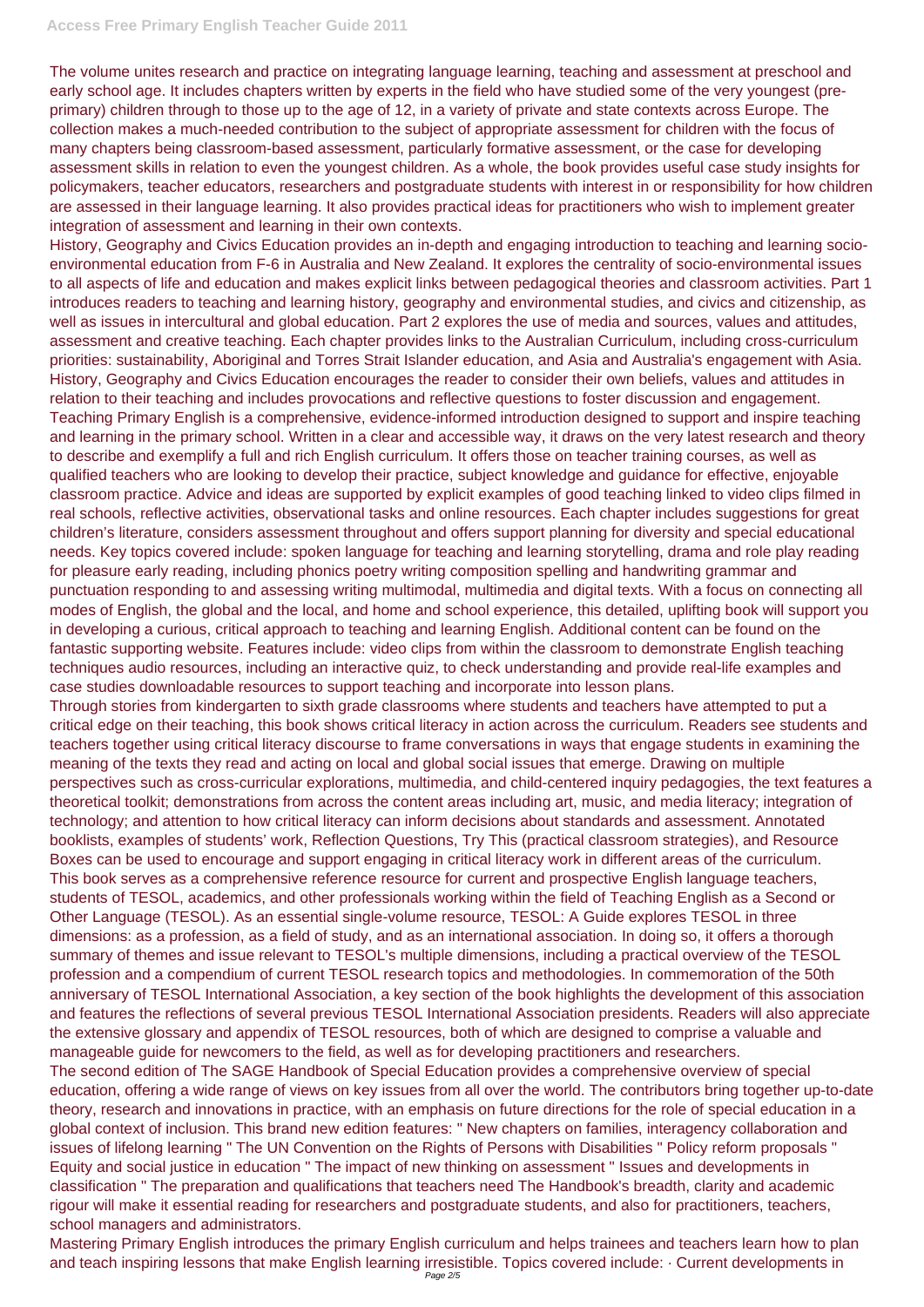The volume unites research and practice on integrating language learning, teaching and assessment at preschool and early school age. It includes chapters written by experts in the field who have studied some of the very youngest (preprimary) children through to those up to the age of 12, in a variety of private and state contexts across Europe. The collection makes a much-needed contribution to the subject of appropriate assessment for children with the focus of many chapters being classroom-based assessment, particularly formative assessment, or the case for developing assessment skills in relation to even the youngest children. As a whole, the book provides useful case study insights for policymakers, teacher educators, researchers and postgraduate students with interest in or responsibility for how children are assessed in their language learning. It also provides practical ideas for practitioners who wish to implement greater integration of assessment and learning in their own contexts.

History, Geography and Civics Education provides an in-depth and engaging introduction to teaching and learning socioenvironmental education from F-6 in Australia and New Zealand. It explores the centrality of socio-environmental issues to all aspects of life and education and makes explicit links between pedagogical theories and classroom activities. Part 1 introduces readers to teaching and learning history, geography and environmental studies, and civics and citizenship, as well as issues in intercultural and global education. Part 2 explores the use of media and sources, values and attitudes, assessment and creative teaching. Each chapter provides links to the Australian Curriculum, including cross-curriculum priorities: sustainability, Aboriginal and Torres Strait Islander education, and Asia and Australia's engagement with Asia. History, Geography and Civics Education encourages the reader to consider their own beliefs, values and attitudes in relation to their teaching and includes provocations and reflective questions to foster discussion and engagement. Teaching Primary English is a comprehensive, evidence-informed introduction designed to support and inspire teaching and learning in the primary school. Written in a clear and accessible way, it draws on the very latest research and theory to describe and exemplify a full and rich English curriculum. It offers those on teacher training courses, as well as qualified teachers who are looking to develop their practice, subject knowledge and guidance for effective, enjoyable classroom practice. Advice and ideas are supported by explicit examples of good teaching linked to video clips filmed in real schools, reflective activities, observational tasks and online resources. Each chapter includes suggestions for great children's literature, considers assessment throughout and offers support planning for diversity and special educational needs. Key topics covered include: spoken language for teaching and learning storytelling, drama and role play reading for pleasure early reading, including phonics poetry writing composition spelling and handwriting grammar and punctuation responding to and assessing writing multimodal, multimedia and digital texts. With a focus on connecting all modes of English, the global and the local, and home and school experience, this detailed, uplifting book will support you in developing a curious, critical approach to teaching and learning English. Additional content can be found on the fantastic supporting website. Features include: video clips from within the classroom to demonstrate English teaching techniques audio resources, including an interactive quiz, to check understanding and provide real-life examples and case studies downloadable resources to support teaching and incorporate into lesson plans.

Through stories from kindergarten to sixth grade classrooms where students and teachers have attempted to put a critical edge on their teaching, this book shows critical literacy in action across the curriculum. Readers see students and teachers together using critical literacy discourse to frame conversations in ways that engage students in examining the meaning of the texts they read and acting on local and global social issues that emerge. Drawing on multiple perspectives such as cross-curricular explorations, multimedia, and child-centered inquiry pedagogies, the text features a theoretical toolkit; demonstrations from across the content areas including art, music, and media literacy; integration of technology; and attention to how critical literacy can inform decisions about standards and assessment. Annotated booklists, examples of students' work, Reflection Questions, Try This (practical classroom strategies), and Resource Boxes can be used to encourage and support engaging in critical literacy work in different areas of the curriculum. This book serves as a comprehensive reference resource for current and prospective English language teachers, students of TESOL, academics, and other professionals working within the field of Teaching English as a Second or Other Language (TESOL). As an essential single-volume resource, TESOL: A Guide explores TESOL in three dimensions: as a profession, as a field of study, and as an international association. In doing so, it offers a thorough summary of themes and issue relevant to TESOL's multiple dimensions, including a practical overview of the TESOL profession and a compendium of current TESOL research topics and methodologies. In commemoration of the 50th anniversary of TESOL International Association, a key section of the book highlights the development of this association and features the reflections of several previous TESOL International Association presidents. Readers will also appreciate the extensive glossary and appendix of TESOL resources, both of which are designed to comprise a valuable and manageable guide for newcomers to the field, as well as for developing practitioners and researchers. The second edition of The SAGE Handbook of Special Education provides a comprehensive overview of special education, offering a wide range of views on key issues from all over the world. The contributors bring together up-to-date theory, research and innovations in practice, with an emphasis on future directions for the role of special education in a global context of inclusion. This brand new edition features: " New chapters on families, interagency collaboration and issues of lifelong learning " The UN Convention on the Rights of Persons with Disabilities " Policy reform proposals " Equity and social justice in education " The impact of new thinking on assessment " Issues and developments in classification " The preparation and qualifications that teachers need The Handbook's breadth, clarity and academic rigour will make it essential reading for researchers and postgraduate students, and also for practitioners, teachers, school managers and administrators. Mastering Primary English introduces the primary English curriculum and helps trainees and teachers learn how to plan and teach inspiring lessons that make English learning irresistible. Topics covered include: · Current developments in Page 2/5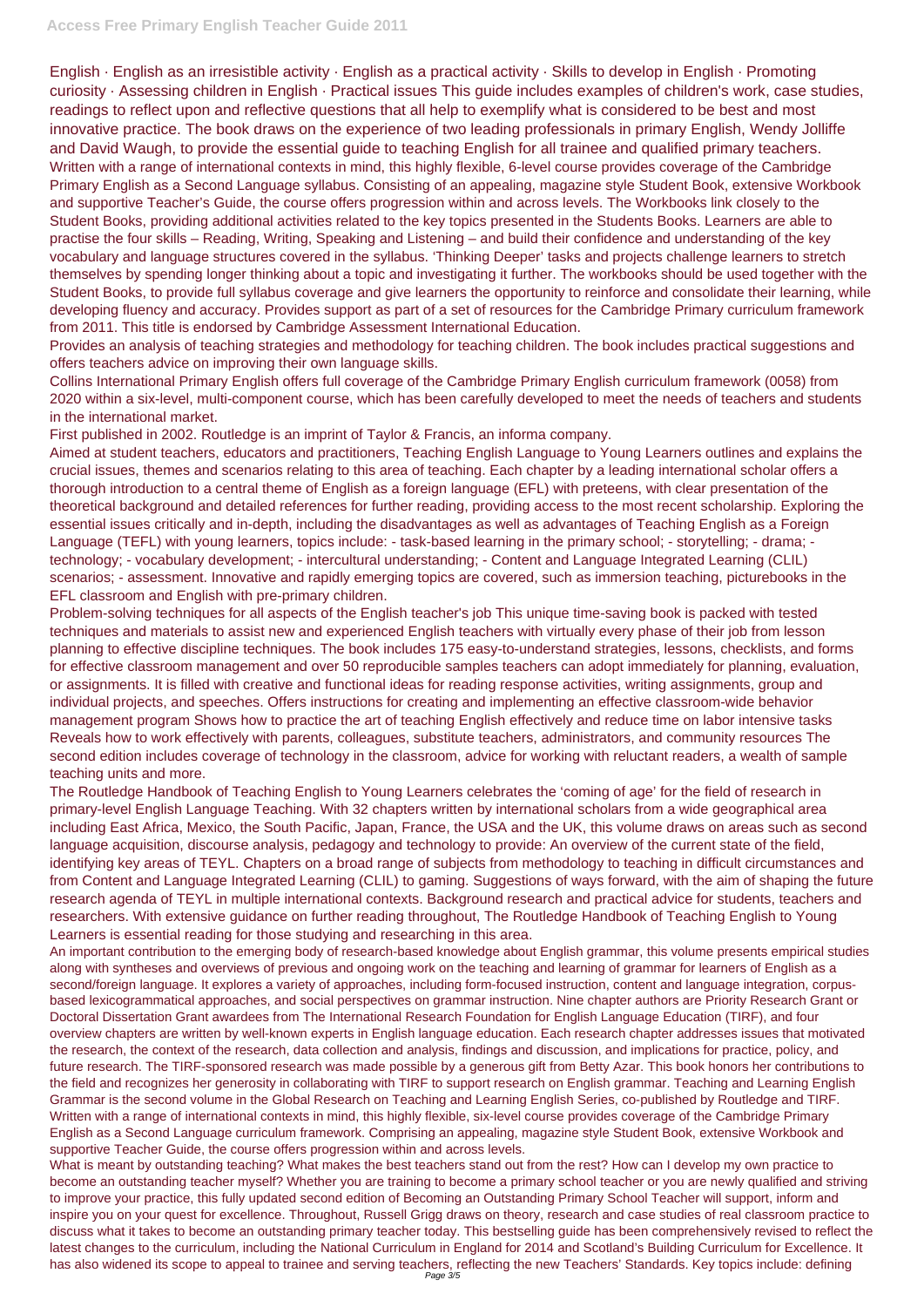## **Access Free Primary English Teacher Guide 2011**

English · English as an irresistible activity · English as a practical activity · Skills to develop in English · Promoting curiosity · Assessing children in English · Practical issues This guide includes examples of children's work, case studies, readings to reflect upon and reflective questions that all help to exemplify what is considered to be best and most innovative practice. The book draws on the experience of two leading professionals in primary English, Wendy Jolliffe and David Waugh, to provide the essential guide to teaching English for all trainee and qualified primary teachers. Written with a range of international contexts in mind, this highly flexible, 6-level course provides coverage of the Cambridge Primary English as a Second Language syllabus. Consisting of an appealing, magazine style Student Book, extensive Workbook and supportive Teacher's Guide, the course offers progression within and across levels. The Workbooks link closely to the Student Books, providing additional activities related to the key topics presented in the Students Books. Learners are able to practise the four skills – Reading, Writing, Speaking and Listening – and build their confidence and understanding of the key vocabulary and language structures covered in the syllabus. 'Thinking Deeper' tasks and projects challenge learners to stretch themselves by spending longer thinking about a topic and investigating it further. The workbooks should be used together with the Student Books, to provide full syllabus coverage and give learners the opportunity to reinforce and consolidate their learning, while developing fluency and accuracy. Provides support as part of a set of resources for the Cambridge Primary curriculum framework from 2011. This title is endorsed by Cambridge Assessment International Education.

Provides an analysis of teaching strategies and methodology for teaching children. The book includes practical suggestions and offers teachers advice on improving their own language skills.

Collins International Primary English offers full coverage of the Cambridge Primary English curriculum framework (0058) from 2020 within a six-level, multi-component course, which has been carefully developed to meet the needs of teachers and students in the international market.

First published in 2002. Routledge is an imprint of Taylor & Francis, an informa company.

Aimed at student teachers, educators and practitioners, Teaching English Language to Young Learners outlines and explains the crucial issues, themes and scenarios relating to this area of teaching. Each chapter by a leading international scholar offers a thorough introduction to a central theme of English as a foreign language (EFL) with preteens, with clear presentation of the theoretical background and detailed references for further reading, providing access to the most recent scholarship. Exploring the essential issues critically and in-depth, including the disadvantages as well as advantages of Teaching English as a Foreign Language (TEFL) with young learners, topics include: - task-based learning in the primary school; - storytelling; - drama; technology; - vocabulary development; - intercultural understanding; - Content and Language Integrated Learning (CLIL) scenarios; - assessment. Innovative and rapidly emerging topics are covered, such as immersion teaching, picturebooks in the EFL classroom and English with pre-primary children.

Problem-solving techniques for all aspects of the English teacher's job This unique time-saving book is packed with tested techniques and materials to assist new and experienced English teachers with virtually every phase of their job from lesson planning to effective discipline techniques. The book includes 175 easy-to-understand strategies, lessons, checklists, and forms for effective classroom management and over 50 reproducible samples teachers can adopt immediately for planning, evaluation, or assignments. It is filled with creative and functional ideas for reading response activities, writing assignments, group and individual projects, and speeches. Offers instructions for creating and implementing an effective classroom-wide behavior management program Shows how to practice the art of teaching English effectively and reduce time on labor intensive tasks Reveals how to work effectively with parents, colleagues, substitute teachers, administrators, and community resources The second edition includes coverage of technology in the classroom, advice for working with reluctant readers, a wealth of sample teaching units and more.

The Routledge Handbook of Teaching English to Young Learners celebrates the 'coming of age' for the field of research in primary-level English Language Teaching. With 32 chapters written by international scholars from a wide geographical area including East Africa, Mexico, the South Pacific, Japan, France, the USA and the UK, this volume draws on areas such as second language acquisition, discourse analysis, pedagogy and technology to provide: An overview of the current state of the field, identifying key areas of TEYL. Chapters on a broad range of subjects from methodology to teaching in difficult circumstances and from Content and Language Integrated Learning (CLIL) to gaming. Suggestions of ways forward, with the aim of shaping the future research agenda of TEYL in multiple international contexts. Background research and practical advice for students, teachers and researchers. With extensive guidance on further reading throughout, The Routledge Handbook of Teaching English to Young Learners is essential reading for those studying and researching in this area.

An important contribution to the emerging body of research-based knowledge about English grammar, this volume presents empirical studies along with syntheses and overviews of previous and ongoing work on the teaching and learning of grammar for learners of English as a second/foreign language. It explores a variety of approaches, including form-focused instruction, content and language integration, corpusbased lexicogrammatical approaches, and social perspectives on grammar instruction. Nine chapter authors are Priority Research Grant or Doctoral Dissertation Grant awardees from The International Research Foundation for English Language Education (TIRF), and four overview chapters are written by well-known experts in English language education. Each research chapter addresses issues that motivated the research, the context of the research, data collection and analysis, findings and discussion, and implications for practice, policy, and future research. The TIRF-sponsored research was made possible by a generous gift from Betty Azar. This book honors her contributions to the field and recognizes her generosity in collaborating with TIRF to support research on English grammar. Teaching and Learning English Grammar is the second volume in the Global Research on Teaching and Learning English Series, co-published by Routledge and TIRF. Written with a range of international contexts in mind, this highly flexible, six-level course provides coverage of the Cambridge Primary English as a Second Language curriculum framework. Comprising an appealing, magazine style Student Book, extensive Workbook and supportive Teacher Guide, the course offers progression within and across levels. What is meant by outstanding teaching? What makes the best teachers stand out from the rest? How can I develop my own practice to become an outstanding teacher myself? Whether you are training to become a primary school teacher or you are newly qualified and striving to improve your practice, this fully updated second edition of Becoming an Outstanding Primary School Teacher will support, inform and inspire you on your quest for excellence. Throughout, Russell Grigg draws on theory, research and case studies of real classroom practice to discuss what it takes to become an outstanding primary teacher today. This bestselling guide has been comprehensively revised to reflect the latest changes to the curriculum, including the National Curriculum in England for 2014 and Scotland's Building Curriculum for Excellence. It has also widened its scope to appeal to trainee and serving teachers, reflecting the new Teachers' Standards. Key topics include: defining Page 3/5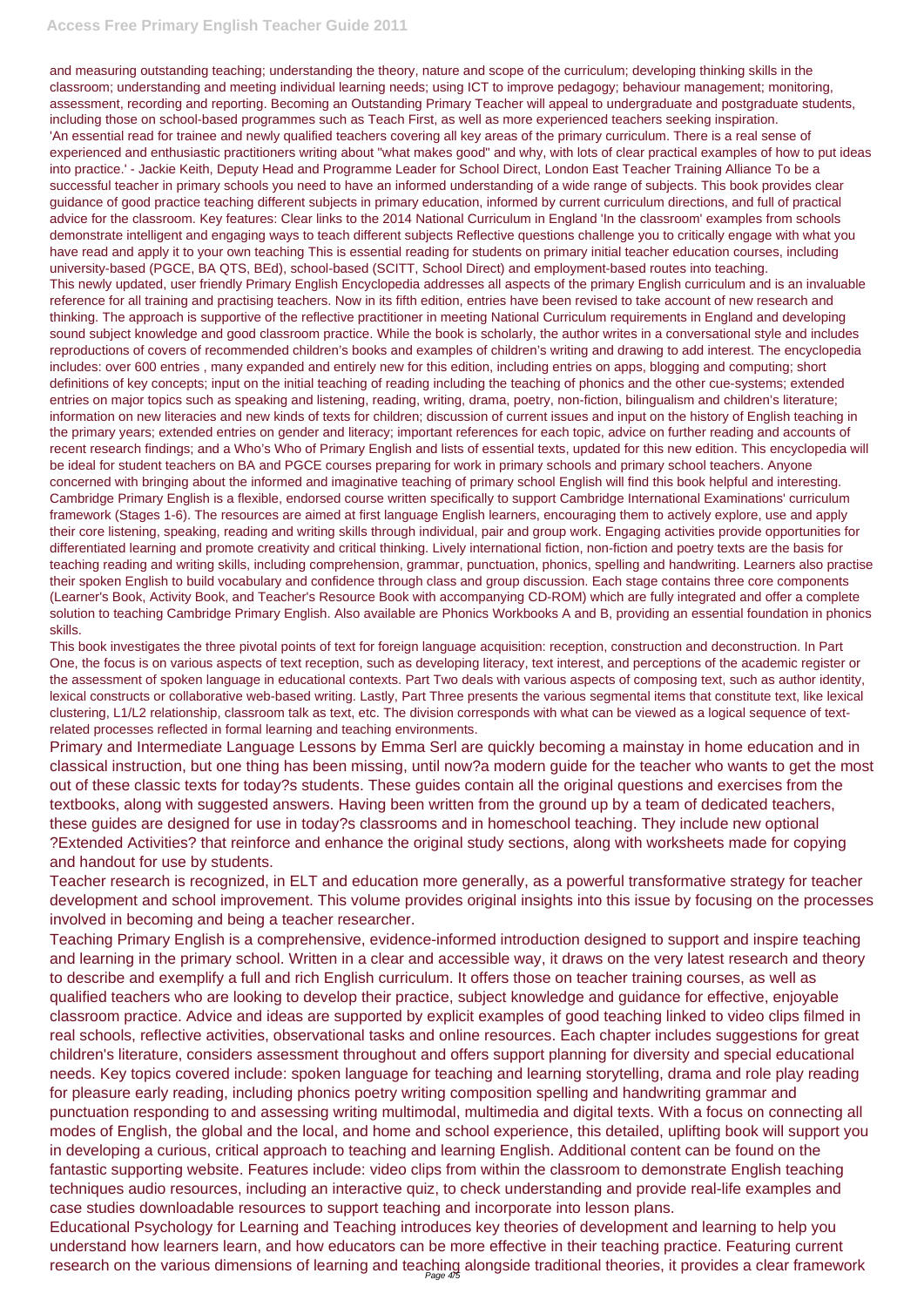## **Access Free Primary English Teacher Guide 2011**

and measuring outstanding teaching; understanding the theory, nature and scope of the curriculum; developing thinking skills in the classroom; understanding and meeting individual learning needs; using ICT to improve pedagogy; behaviour management; monitoring, assessment, recording and reporting. Becoming an Outstanding Primary Teacher will appeal to undergraduate and postgraduate students, including those on school-based programmes such as Teach First, as well as more experienced teachers seeking inspiration. 'An essential read for trainee and newly qualified teachers covering all key areas of the primary curriculum. There is a real sense of experienced and enthusiastic practitioners writing about "what makes good" and why, with lots of clear practical examples of how to put ideas into practice.' - Jackie Keith, Deputy Head and Programme Leader for School Direct, London East Teacher Training Alliance To be a successful teacher in primary schools you need to have an informed understanding of a wide range of subjects. This book provides clear guidance of good practice teaching different subjects in primary education, informed by current curriculum directions, and full of practical advice for the classroom. Key features: Clear links to the 2014 National Curriculum in England 'In the classroom' examples from schools demonstrate intelligent and engaging ways to teach different subjects Reflective questions challenge you to critically engage with what you have read and apply it to your own teaching This is essential reading for students on primary initial teacher education courses, including university-based (PGCE, BA QTS, BEd), school-based (SCITT, School Direct) and employment-based routes into teaching. This newly updated, user friendly Primary English Encyclopedia addresses all aspects of the primary English curriculum and is an invaluable reference for all training and practising teachers. Now in its fifth edition, entries have been revised to take account of new research and thinking. The approach is supportive of the reflective practitioner in meeting National Curriculum requirements in England and developing sound subject knowledge and good classroom practice. While the book is scholarly, the author writes in a conversational style and includes reproductions of covers of recommended children's books and examples of children's writing and drawing to add interest. The encyclopedia includes: over 600 entries , many expanded and entirely new for this edition, including entries on apps, blogging and computing; short definitions of key concepts; input on the initial teaching of reading including the teaching of phonics and the other cue-systems; extended entries on major topics such as speaking and listening, reading, writing, drama, poetry, non-fiction, bilingualism and children's literature; information on new literacies and new kinds of texts for children; discussion of current issues and input on the history of English teaching in the primary years; extended entries on gender and literacy; important references for each topic, advice on further reading and accounts of recent research findings; and a Who's Who of Primary English and lists of essential texts, updated for this new edition. This encyclopedia will be ideal for student teachers on BA and PGCE courses preparing for work in primary schools and primary school teachers. Anyone concerned with bringing about the informed and imaginative teaching of primary school English will find this book helpful and interesting. Cambridge Primary English is a flexible, endorsed course written specifically to support Cambridge International Examinations' curriculum framework (Stages 1-6). The resources are aimed at first language English learners, encouraging them to actively explore, use and apply their core listening, speaking, reading and writing skills through individual, pair and group work. Engaging activities provide opportunities for differentiated learning and promote creativity and critical thinking. Lively international fiction, non-fiction and poetry texts are the basis for teaching reading and writing skills, including comprehension, grammar, punctuation, phonics, spelling and handwriting. Learners also practise their spoken English to build vocabulary and confidence through class and group discussion. Each stage contains three core components (Learner's Book, Activity Book, and Teacher's Resource Book with accompanying CD-ROM) which are fully integrated and offer a complete solution to teaching Cambridge Primary English. Also available are Phonics Workbooks A and B, providing an essential foundation in phonics skills.

qualified teachers who are looking to develop their practice, subject knowledge and guidance for effective, enjoyable classroom practice. Advice and ideas are supported by explicit examples of good teaching linked to video clips filmed in real schools, reflective activities, observational tasks and online resources. Each chapter includes suggestions for great children's literature, considers assessment throughout and offers support planning for diversity and special educational needs. Key topics covered include: spoken language for teaching and learning storytelling, drama and role play reading for pleasure early reading, including phonics poetry writing composition spelling and handwriting grammar and punctuation responding to and assessing writing multimodal, multimedia and digital texts. With a focus on connecting all modes of English, the global and the local, and home and school experience, this detailed, uplifting book will support you in developing a curious, critical approach to teaching and learning English. Additional content can be found on the fantastic supporting website. Features include: video clips from within the classroom to demonstrate English teaching techniques audio resources, including an interactive quiz, to check understanding and provide real-life examples and case studies downloadable resources to support teaching and incorporate into lesson plans. Educational Psychology for Learning and Teaching introduces key theories of development and learning to help you understand how learners learn, and how educators can be more effective in their teaching practice. Featuring current research on the various dimensions of learning and teaching alongside traditional theories, it provides a clear framework

This book investigates the three pivotal points of text for foreign language acquisition: reception, construction and deconstruction. In Part One, the focus is on various aspects of text reception, such as developing literacy, text interest, and perceptions of the academic register or the assessment of spoken language in educational contexts. Part Two deals with various aspects of composing text, such as author identity, lexical constructs or collaborative web-based writing. Lastly, Part Three presents the various segmental items that constitute text, like lexical clustering, L1/L2 relationship, classroom talk as text, etc. The division corresponds with what can be viewed as a logical sequence of textrelated processes reflected in formal learning and teaching environments.

Primary and Intermediate Language Lessons by Emma Serl are quickly becoming a mainstay in home education and in classical instruction, but one thing has been missing, until now?a modern guide for the teacher who wants to get the most out of these classic texts for today?s students. These guides contain all the original questions and exercises from the textbooks, along with suggested answers. Having been written from the ground up by a team of dedicated teachers, these guides are designed for use in today?s classrooms and in homeschool teaching. They include new optional ?Extended Activities? that reinforce and enhance the original study sections, along with worksheets made for copying and handout for use by students.

Teacher research is recognized, in ELT and education more generally, as a powerful transformative strategy for teacher development and school improvement. This volume provides original insights into this issue by focusing on the processes involved in becoming and being a teacher researcher.

Teaching Primary English is a comprehensive, evidence-informed introduction designed to support and inspire teaching and learning in the primary school. Written in a clear and accessible way, it draws on the very latest research and theory to describe and exemplify a full and rich English curriculum. It offers those on teacher training courses, as well as